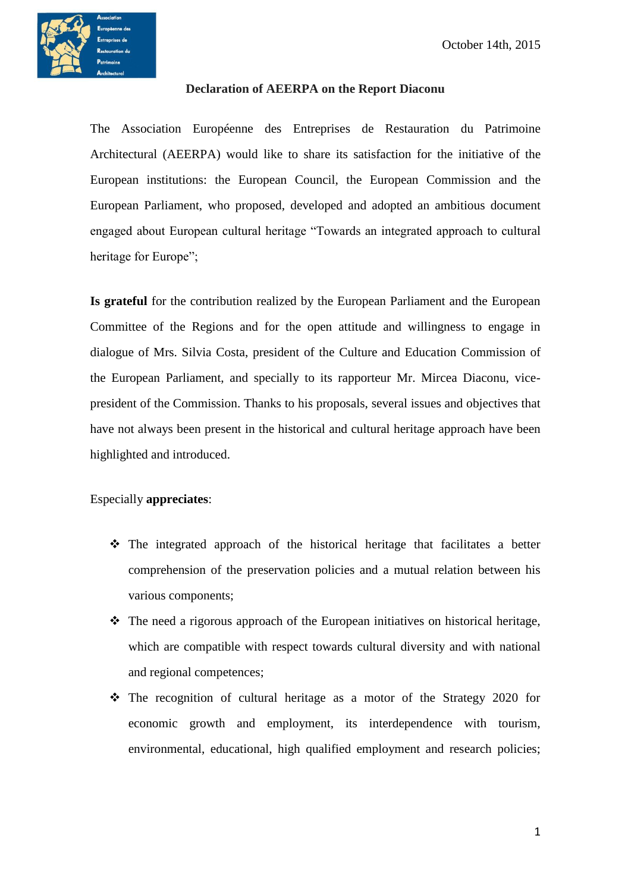

## **Declaration of AEERPA on the Report Diaconu**

The Association Européenne des Entreprises de Restauration du Patrimoine Architectural (AEERPA) would like to share its satisfaction for the initiative of the European institutions: the European Council, the European Commission and the European Parliament, who proposed, developed and adopted an ambitious document engaged about European cultural heritage "Towards an integrated approach to cultural heritage for Europe";

**Is grateful** for the contribution realized by the European Parliament and the European Committee of the Regions and for the open attitude and willingness to engage in dialogue of Mrs. Silvia Costa, president of the Culture and Education Commission of the European Parliament, and specially to its rapporteur Mr. Mircea Diaconu, vicepresident of the Commission. Thanks to his proposals, several issues and objectives that have not always been present in the historical and cultural heritage approach have been highlighted and introduced.

## Especially **appreciates**:

- $\hat{\cdot}$  The integrated approach of the historical heritage that facilitates a better comprehension of the preservation policies and a mutual relation between his various components;
- $\triangle$  The need a rigorous approach of the European initiatives on historical heritage, which are compatible with respect towards cultural diversity and with national and regional competences;
- $\div$  The recognition of cultural heritage as a motor of the Strategy 2020 for economic growth and employment, its interdependence with tourism, environmental, educational, high qualified employment and research policies;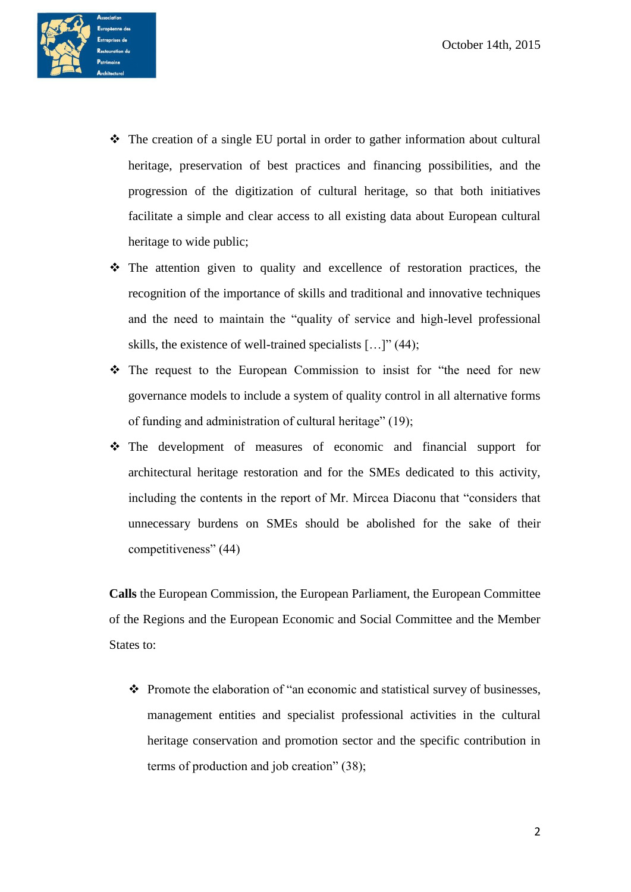

- $\hat{\mathbf{\cdot}}$  The creation of a single EU portal in order to gather information about cultural heritage, preservation of best practices and financing possibilities, and the progression of the digitization of cultural heritage, so that both initiatives facilitate a simple and clear access to all existing data about European cultural heritage to wide public;
- $\div$  The attention given to quality and excellence of restoration practices, the recognition of the importance of skills and traditional and innovative techniques and the need to maintain the "quality of service and high-level professional skills, the existence of well-trained specialists […]" (44);
- The request to the European Commission to insist for "the need for new governance models to include a system of quality control in all alternative forms of funding and administration of cultural heritage" (19);
- The development of measures of economic and financial support for architectural heritage restoration and for the SMEs dedicated to this activity, including the contents in the report of Mr. Mircea Diaconu that "considers that unnecessary burdens on SMEs should be abolished for the sake of their competitiveness" (44)

**Calls** the European Commission, the European Parliament, the European Committee of the Regions and the European Economic and Social Committee and the Member States to:

 $\triangle$  Promote the elaboration of "an economic and statistical survey of businesses, management entities and specialist professional activities in the cultural heritage conservation and promotion sector and the specific contribution in terms of production and job creation" (38);